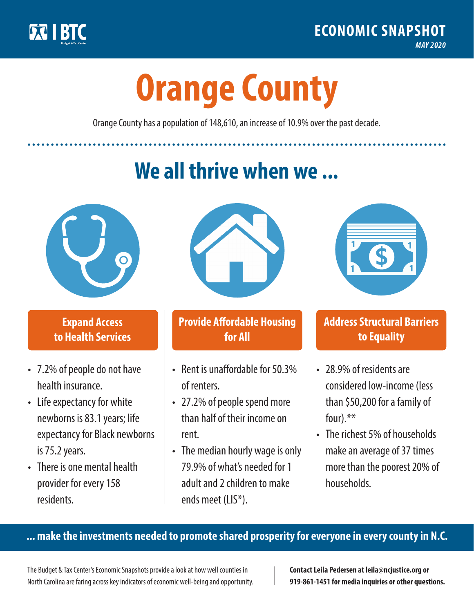

**1**

# **Orange County**

Orange County has a population of 148,610, an increase of 10.9% over the past decade.

# **We all thrive when we ...**



**\$ <sup>1</sup>**

**\$ <sup>1</sup>**

## **Expand Access to Health Services**

- 7.2% of people do not have health insurance.
- Life expectancy for white newborns is 83.1years; life expectancy for Black newborns is 75.2years.
- There is one mental health provider for every 158 residents.



## **Provide Affordable Housing for All**

- Rent is unaffordable for 50.3% of renters.
- 27.2% of people spend more than half of their income on rent.
- The median hourly wage is only 79.9% of what's needed for 1 adult and 2 children to make ends meet (LIS\*).



## **Address Structural Barriers to Equality**

- 28.9% of residents are considered low-income (less than \$50,200 for a family of four) $.**$
- The richest 5% of households make an average of 37 times more than the poorest 20% of households.

#### **... make the investments needed to promote shared prosperity for everyone in every county in N.C.**

The Budget & Tax Center's Economic Snapshots provide a look at how well counties in North Carolina are faring across key indicators of economic well-being and opportunity.